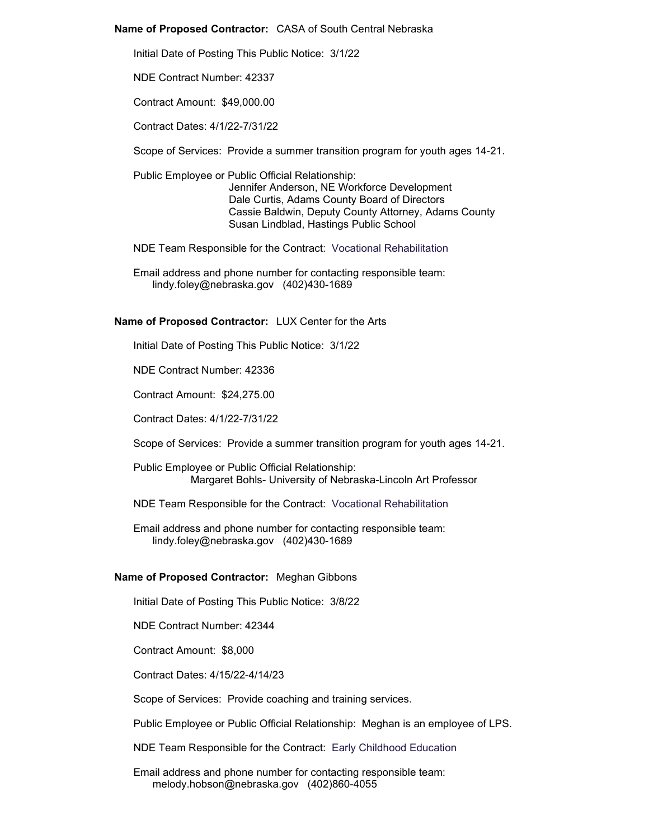## **Name of Proposed Contractor:** CASA of South Central Nebraska

Initial Date of Posting This Public Notice: 3/1/22

NDE Contract Number: 42337

Contract Amount: \$49,000.00

Contract Dates: 4/1/22-7/31/22

Scope of Services: Provide a summer transition program for youth ages 14-21.

Public Employee or Public Official Relationship: Jennifer Anderson, NE Workforce Development Dale Curtis, Adams County Board of Directors Cassie Baldwin, Deputy County Attorney, Adams County Susan Lindblad, Hastings Public School

NDE Team Responsible for the Contract: Vocational Rehabilitation

Email address and phone number for contacting responsible team: lindy.foley@nebraska.gov (402)430-1689

# **Name of Proposed Contractor:** LUX Center for the Arts

Initial Date of Posting This Public Notice: 3/1/22

NDE Contract Number: 42336

Contract Amount: \$24,275.00

Contract Dates: 4/1/22-7/31/22

Scope of Services: Provide a summer transition program for youth ages 14-21.

Public Employee or Public Official Relationship: Margaret Bohls- University of Nebraska-Lincoln Art Professor

NDE Team Responsible for the Contract: Vocational Rehabilitation

Email address and phone number for contacting responsible team: lindy.foley@nebraska.gov (402)430-1689

## **Name of Proposed Contractor:** Meghan Gibbons

Initial Date of Posting This Public Notice: 3/8/22

NDE Contract Number: 42344

Contract Amount: \$8,000

Contract Dates: 4/15/22-4/14/23

Scope of Services: Provide coaching and training services.

Public Employee or Public Official Relationship: Meghan is an employee of LPS.

NDE Team Responsible for the Contract: Early Childhood Education

Email address and phone number for contacting responsible team: melody.hobson@nebraska.gov (402)860-4055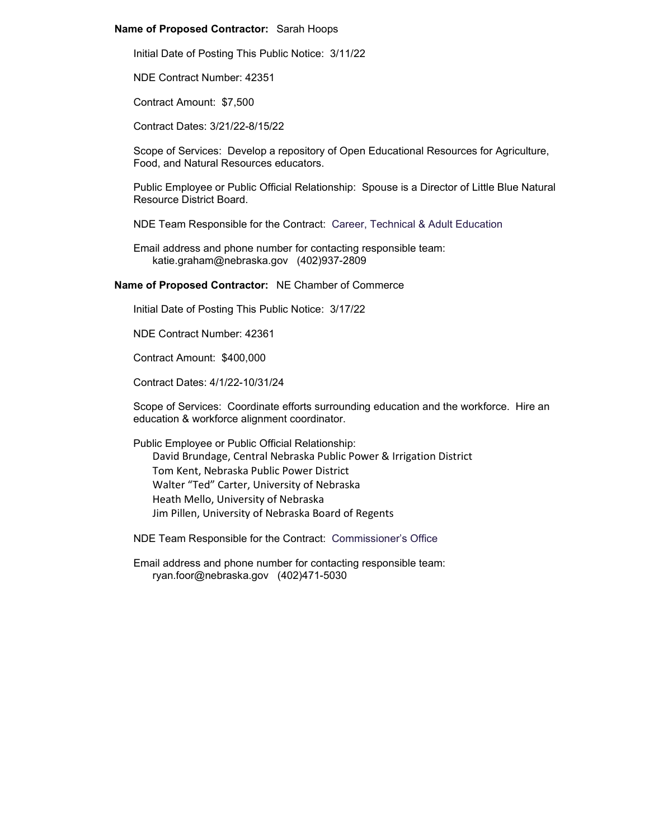## **Name of Proposed Contractor:** Sarah Hoops

Initial Date of Posting This Public Notice: 3/11/22

NDE Contract Number: 42351

Contract Amount: \$7,500

Contract Dates: 3/21/22-8/15/22

Scope of Services: Develop a repository of Open Educational Resources for Agriculture, Food, and Natural Resources educators.

Public Employee or Public Official Relationship: Spouse is a Director of Little Blue Natural Resource District Board.

NDE Team Responsible for the Contract: Career, Technical & Adult Education

Email address and phone number for contacting responsible team: katie.graham@nebraska.gov (402)937-2809

#### **Name of Proposed Contractor:** NE Chamber of Commerce

Initial Date of Posting This Public Notice: 3/17/22

NDE Contract Number: 42361

Contract Amount: \$400,000

Contract Dates: 4/1/22-10/31/24

Scope of Services: Coordinate efforts surrounding education and the workforce. Hire an education & workforce alignment coordinator.

Public Employee or Public Official Relationship: David Brundage, Central Nebraska Public Power & Irrigation District Tom Kent, Nebraska Public Power District Walter "Ted" Carter, University of Nebraska Heath Mello, University of Nebraska Jim Pillen, University of Nebraska Board of Regents

NDE Team Responsible for the Contract: Commissioner's Office

Email address and phone number for contacting responsible team: ryan.foor@nebraska.gov (402)471-5030